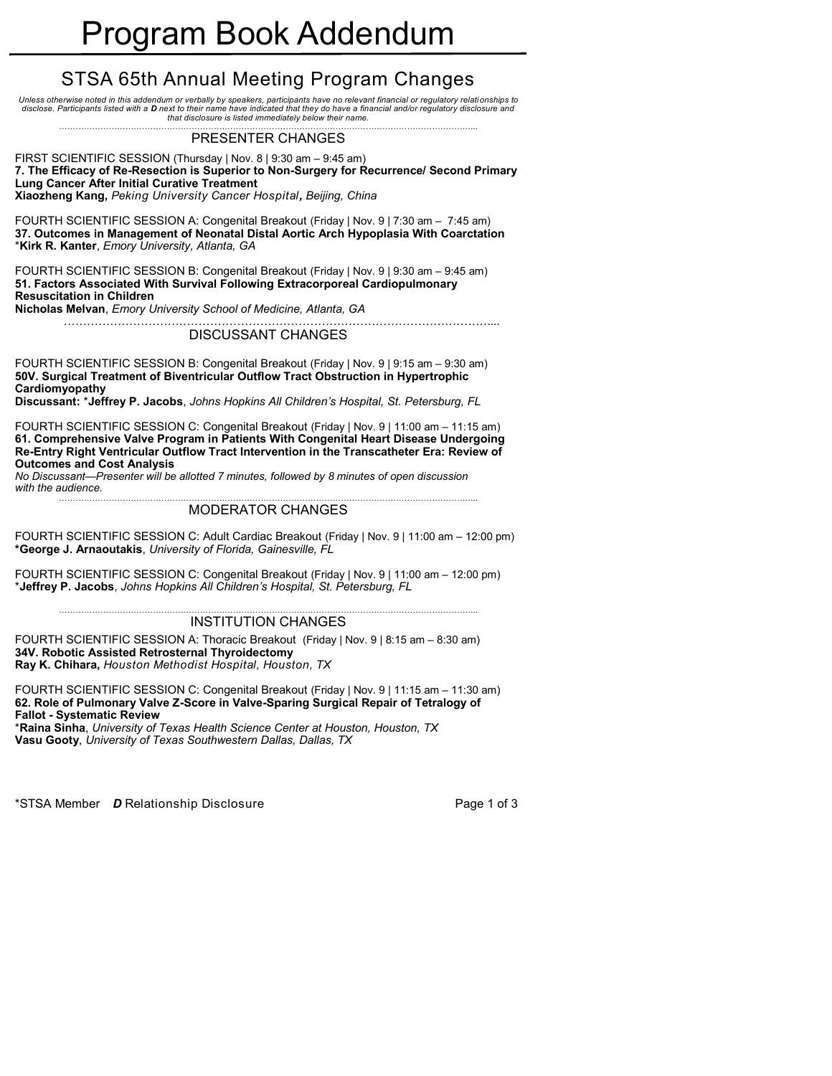# STSA 65th Annual Meeting Program Changes

*Unless otherwise noted in this addendum or verbally by speakers, participants have no relevant financial or regulatory relationships to disclose. Participants listed with a D next to their name have indicated that they do have a financial and/or regulatory disclosure and that disclosure is listed immediately below their name.*

### *……………………………………………………………………………………………………………………………………..* PRESENTER CHANGES

FIRST SCIENTIFIC SESSION (Thursday | Nov. 8 | 9:30 am – 9:45 am) **7. The Efficacy of Re-Resection is Superior to Non-Surgery for Recurrence/ Second Primary Lung Cancer After Initial Curative Treatment** 

**Xiaozheng Kang,** *Peking University Cancer Hospital, Beijing, China*

FOURTH SCIENTIFIC SESSION A: Congenital Breakout (Friday | Nov. 9 | 7:30 am – 7:45 am) **37. Outcomes in Management of Neonatal Distal Aortic Arch Hypoplasia With Coarctation**  \***Kirk R. Kanter**, *Emory University, Atlanta, GA*

FOURTH SCIENTIFIC SESSION B: Congenital Breakout (Friday | Nov. 9 | 9:30 am – 9:45 am) **51. Factors Associated With Survival Following Extracorporeal Cardiopulmonary Resuscitation in Children Nicholas Melvan**, *Emory University School of Medicine, Atlanta, GA*

 *…………………………………………………………………………………………………...*

### DISCUSSANT CHANGES

FOURTH SCIENTIFIC SESSION B: Congenital Breakout (Friday | Nov. 9 | 9:15 am – 9:30 am) **50V. Surgical Treatment of Biventricular Outflow Tract Obstruction in Hypertrophic Cardiomyopathy**

**Discussant:** \***Jeffrey P. Jacobs**, *Johns Hopkins All Children's Hospital, St. Petersburg, FL* 

FOURTH SCIENTIFIC SESSION C: Congenital Breakout (Friday | Nov. 9 | 11:00 am – 11:15 am) **61. Comprehensive Valve Program in Patients With Congenital Heart Disease Undergoing Re-Entry Right Ventricular Outflow Tract Intervention in the Transcatheter Era: Review of Outcomes and Cost Analysis** 

*No Discussant—Presenter will be allotted 7 minutes, followed by 8 minutes of open discussion with the audience. ……………………………………………………………………………………………………………………………………..*

### MODERATOR CHANGES

FOURTH SCIENTIFIC SESSION C: Adult Cardiac Breakout (Friday | Nov. 9 | 11:00 am – 12:00 pm) **\*George J. Arnaoutakis**, *University of Florida, Gainesville, FL*

FOURTH SCIENTIFIC SESSION C: Congenital Breakout (Friday | Nov. 9 | 11:00 am – 12:00 pm) \***Jeffrey P. Jacobs**, *Johns Hopkins All Children's Hospital, St. Petersburg, FL* 

### INSTITUTION CHANGES

FOURTH SCIENTIFIC SESSION A: Thoracic Breakout (Friday | Nov. 9 | 8:15 am – 8:30 am) **34V. Robotic Assisted Retrosternal Thyroidectomy Ray K. Chihara,** *Houston Methodist Hospital, Houston, TX*

FOURTH SCIENTIFIC SESSION C: Congenital Breakout (Friday | Nov. 9 | 11:15 am – 11:30 am) **62. Role of Pulmonary Valve Z-Score in Valve-Sparing Surgical Repair of Tetralogy of Fallot - Systematic Review** 

\***Raina Sinha**, *University of Texas Health Science Center at Houston, Houston, TX* **Vasu Gooty**, *University of Texas Southwestern Dallas, Dallas, TX*

\*STSA Member **D** Relationship Disclosure **Page 1** of 3

*……………………………………………………………………………………………………………………………………..*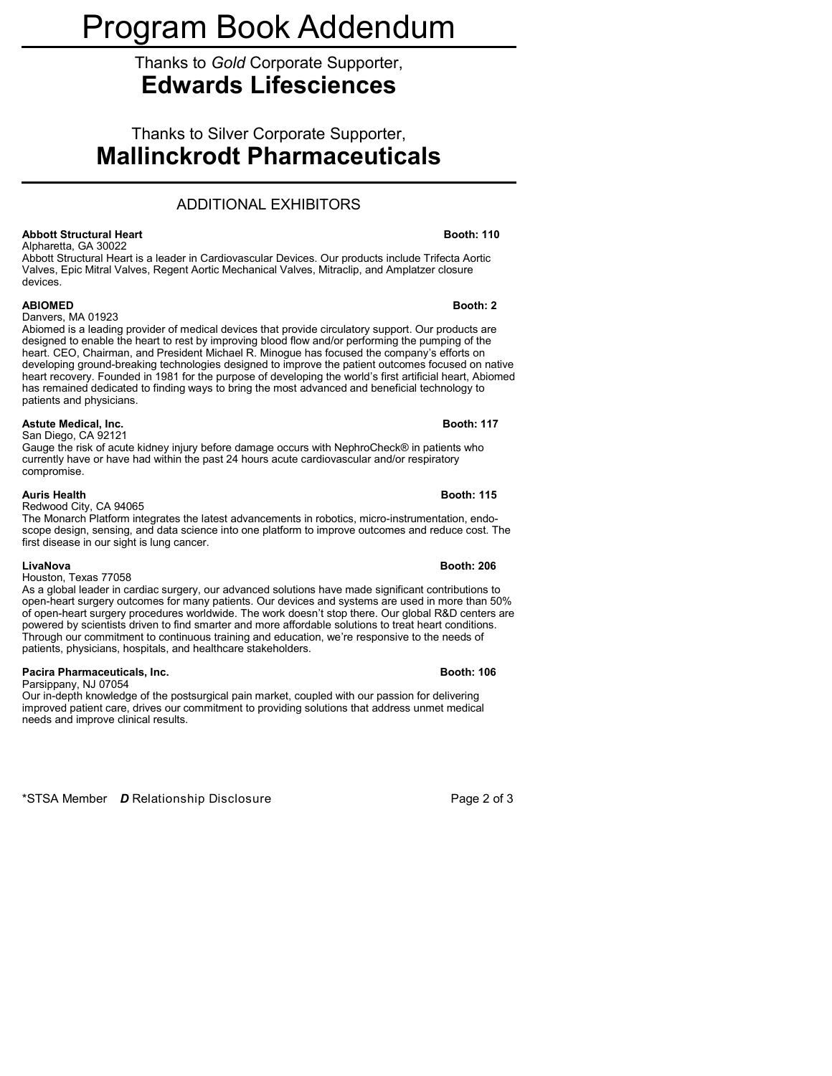# Program Book Addendum

# Thanks to *Gold* Corporate Supporter, **Edwards Lifesciences**

Thanks to Silver Corporate Supporter, **Mallinckrodt Pharmaceuticals**

# ADDITIONAL EXHIBITORS

### **Abbott Structural Heart Booth: 110**

Alpharetta, GA 30022 Abbott Structural Heart is a leader in Cardiovascular Devices. Our products include Trifecta Aortic Valves, Epic Mitral Valves, Regent Aortic Mechanical Valves, Mitraclip, and Amplatzer closure devices.

### **ABIOMED Booth: 2**

### Danvers, MA 01923

Abiomed is a leading provider of medical devices that provide circulatory support. Our products are designed to enable the heart to rest by improving blood flow and/or performing the pumping of the heart. CEO, Chairman, and President Michael R. Minogue has focused the company's efforts on developing ground-breaking technologies designed to improve the patient outcomes focused on native heart recovery. Founded in 1981 for the purpose of developing the world's first artificial heart, Abiomed has remained dedicated to finding ways to bring the most advanced and beneficial technology to patients and physicians.

### **Astute Medical, Inc. Booth: 117**

San Diego, CA 92121 Gauge the risk of acute kidney injury before damage occurs with NephroCheck® in patients who currently have or have had within the past 24 hours acute cardiovascular and/or respiratory compromise.

### **Auris Health Booth: 115**

### Redwood City, CA 94065

The Monarch Platform integrates the latest advancements in robotics, micro-instrumentation, endoscope design, sensing, and data science into one platform to improve outcomes and reduce cost. The first disease in our sight is lung cancer.

### **LivaNova Booth: 206**

### Houston, Texas 77058

As a global leader in cardiac surgery, our advanced solutions have made significant contributions to open-heart surgery outcomes for many patients. Our devices and systems are used in more than 50% of open-heart surgery procedures worldwide. The work doesn't stop there. Our global R&D centers are powered by scientists driven to find smarter and more affordable solutions to treat heart conditions. Through our commitment to continuous training and education, we're responsive to the needs of patients, physicians, hospitals, and healthcare stakeholders.

## **Pacira Pharmaceuticals, Inc. Booth: 106**

Parsippany, NJ 07054

Our in-depth knowledge of the postsurgical pain market, coupled with our passion for delivering improved patient care, drives our commitment to providing solutions that address unmet medical needs and improve clinical results.

\*STSA Member *D* Relationship Disclosure Page 2 of 3